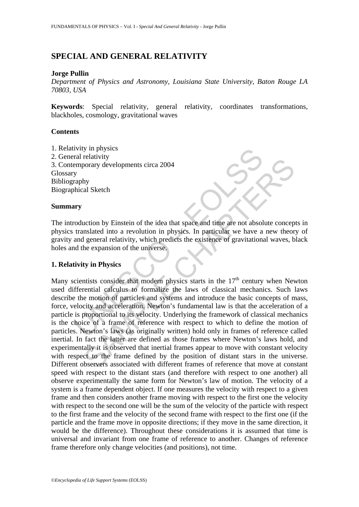# **SPECIAL AND GENERAL RELATIVITY**

#### **Jorge Pullin**

*Department of Physics and Astronomy, Louisiana State University, Baton Rouge LA 70803, USA* 

**Keywords**: Special relativity, general relativity, coordinates transformations, blackholes, cosmology, gravitational waves

# **Contents**

1. Relativity in physics 2. General relativity 3. Contemporary developments circa 2004 Glossary Bibliography Biographical Sketch

### **Summary**

The introduction by Einstein of the idea that space and time are not absolute concepts in physics translated into a revolution in physics. In particular we have a new theory of gravity and general relativity, which predicts the existence of gravitational waves, black holes and the expansion of the universe.

# **1. Relativity in Physics**

Interior and relativity<br>
Traphy<br>
Traphy<br>
Traphy<br>
Traphy<br>
Traphy<br>
Traphy<br>
Traphy<br>
Traphy<br>
Traphy<br>
Traphy<br>
Traphy<br>
Traphy<br>
Traphy<br>
Traphy<br>
Traphy<br>
Traphy<br>
Traphy<br>
Traphy<br>
Traphy<br>
Traphy<br>
Traphy<br>
Traphy<br>
Traphy<br>
Interior of Following the solution of the idea that space and time are not absolute conceptionary developments circa 2004<br>
hy<br>
al Sketch<br>
al Sketch<br>
also a revolution in physics. In particular we have a new theor<br>
algeneral relativit Many scientists consider that modern physics starts in the  $17<sup>th</sup>$  century when Newton used differential calculus to formalize the laws of classical mechanics. Such laws describe the motion of particles and systems and introduce the basic concepts of mass, force, velocity and acceleration. Newton's fundamental law is that the acceleration of a particle is proportional to its velocity. Underlying the framework of classical mechanics is the choice of a frame of reference with respect to which to define the motion of particles. Newton's laws (as originally written) hold only in frames of reference called inertial. In fact the latter are defined as those frames where Newton's laws hold, and experimentally it is observed that inertial frames appear to move with constant velocity with respect to the frame defined by the position of distant stars in the universe. Different observers associated with different frames of reference that move at constant speed with respect to the distant stars (and therefore with respect to one another) all observe experimentally the same form for Newton's law of motion. The velocity of a system is a frame dependent object. If one measures the velocity with respect to a given frame and then considers another frame moving with respect to the first one the velocity with respect to the second one will be the sum of the velocity of the particle with respect to the first frame and the velocity of the second frame with respect to the first one (if the particle and the frame move in opposite directions; if they move in the same direction, it would be the difference). Throughout these considerations it is assumed that time is universal and invariant from one frame of reference to another. Changes of reference frame therefore only change velocities (and positions), not time.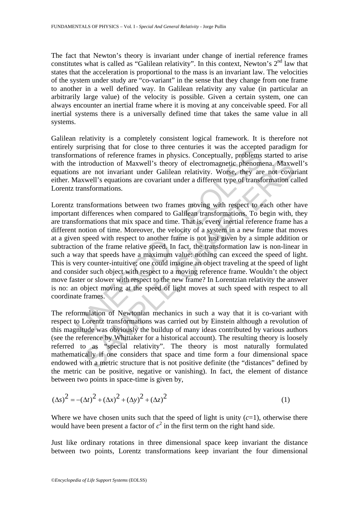The fact that Newton's theory is invariant under change of inertial reference frames constitutes what is called as "Galilean relativity". In this context, Newton's  $2<sup>nd</sup>$  law that states that the acceleration is proportional to the mass is an invariant law. The velocities of the system under study are "co-variant" in the sense that they change from one frame to another in a well defined way. In Galilean relativity any value (in particular an arbitrarily large value) of the velocity is possible. Given a certain system, one can always encounter an inertial frame where it is moving at any conceivable speed. For all inertial systems there is a universally defined time that takes the same value in all systems.

Galilean relativity is a completely consistent logical framework. It is therefore not entirely surprising that for close to three centuries it was the accepted paradigm for transformations of reference frames in physics. Conceptually, problems started to arise with the introduction of Maxwell's theory of electromagnetic phenomena. Maxwell's equations are not invariant under Galilean relativity. Worse, they are not covariant either. Maxwell's equations are covariant under a different type of transformation called Lorentz transformations.

supplising that in close to three entimites it was the accepted<br>matrions of reference frames in physics. Conceptually, problems<br>e introduction of Maxwell's theory of electromagnetic phenomens<br>are not invariant under Galile Introduction of Maxwell's theory of electromagnetic phenomena, Maxwell's thrototron of Maxwell's theory of electromagnetic phenomena, Maxwell's equations are covariant under a different type of transformation can stormatio Lorentz transformations between two frames moving with respect to each other have important differences when compared to Galilean transformations. To begin with, they are transformations that mix space and time. That is, every inertial reference frame has a different notion of time. Moreover, the velocity of a system in a new frame that moves at a given speed with respect to another frame is not just given by a simple addition or subtraction of the frame relative speed. In fact, the transformation law is non-linear in such a way that speeds have a maximum value: nothing can exceed the speed of light. This is very counter-intuitive; one could imagine an object traveling at the speed of light and consider such object with respect to a moving reference frame. Wouldn't the object move faster or slower with respect to the new frame? In Lorentzian relativity the answer is no: an object moving at the speed of light moves at such speed with respect to all coordinate frames.

The reformulation of Newtonian mechanics in such a way that it is co-variant with respect to Lorentz transformations was carried out by Einstein although a revolution of this magnitude was obviously the buildup of many ideas contributed by various authors (see the reference by Whittaker for a historical account). The resulting theory is loosely referred to as "special relativity". The theory is most naturally formulated mathematically if one considers that space and time form a four dimensional space endowed with a metric structure that is not positive definite (the "distances" defined by the metric can be positive, negative or vanishing). In fact, the element of distance between two points in space-time is given by,

$$
(\Delta s)^{2} = -(\Delta t)^{2} + (\Delta x)^{2} + (\Delta y)^{2} + (\Delta z)^{2}
$$
 (1)

Where we have chosen units such that the speed of light is unity  $(c=1)$ , otherwise there would have been present a factor of  $c^2$  in the first term on the right hand side.

Just like ordinary rotations in three dimensional space keep invariant the distance between two points, Lorentz transformations keep invariant the four dimensional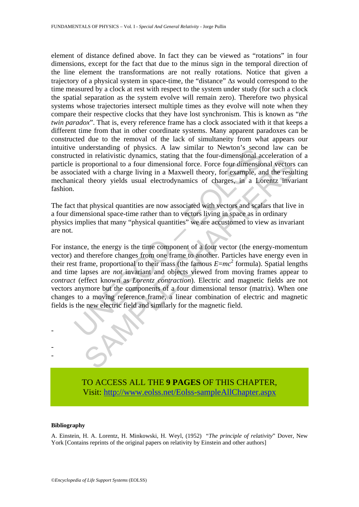element of distance defined above. In fact they can be viewed as "rotations" in four dimensions, except for the fact that due to the minus sign in the temporal direction of the line element the transformations are not really rotations. Notice that given a trajectory of a physical system in space-time, the "distance" Δ*s* would correspond to the time measured by a clock at rest with respect to the system under study (for such a clock the spatial separation as the system evolve will remain zero). Therefore two physical systems whose trajectories intersect multiple times as they evolve will note when they compare their respective clocks that they have lost synchronism. This is known as "*the twin paradox*". That is, every reference frame has a clock associated with it that keeps a different time from that in other coordinate systems. Many apparent paradoxes can be constructed due to the removal of the lack of simultaneity from what appears our intuitive understanding of physics. A law similar to Newton's second law can be constructed in relativistic dynamics, stating that the four-dimensional acceleration of a particle is proportional to a four dimensional force. Force four dimensional vectors can be associated with a charge living in a Maxwell theory, for example, and the resulting mechanical theory yields usual electrodynamics of charges, in a Lorentz invariant fashion.

The fact that physical quantities are now associated with vectors and scalars that live in a four dimensional space-time rather than to vectors living in space as in ordinary physics implies that many "physical quantities" we are accustomed to view as invariant are not.

<sup>2</sup> the measurating of physics. A faw similar to Newton's second in relativistic dynamics, stating that the four-dimensional acceted in relativistic dynamics, stating that the four-dimensional circle is proportional to a and the components of a four dimensional tensor and the most<br>and the meridian of the meridian distribution of proportional to a four dimensional force. Force four dimensional vectors<br>ed with a charge living in a Maxwell t For instance, the energy is the time component of a four vector (the energy-momentum vector) and therefore changes from one frame to another. Particles have energy even in their rest frame, proportional to their mass (the famous  $E=mc^2$  formula). Spatial lengths and time lapses are *not* invariant and objects viewed from moving frames appear to *contract* (effect known as *Lorentz contraction*). Electric and magnetic fields are not vectors anymore but the components of a four dimensional tensor (matrix). When one changes to a moving reference frame, a linear combination of electric and magnetic fields is the new electric field and similarly for the magnetic field.



TO ACCESS ALL THE **9 PAGES** OF THIS CHAPTER, Visi[t: http://www.eolss.net/Eolss-sampleAllChapter.aspx](https://www.eolss.net/ebooklib/sc_cart.aspx?File=E6-06B-02-02)

#### **Bibliography**

A. Einstein, H. A. Lorentz, H. Minkowski, H. Weyl, (1952) "*The principle of relativity*" Dover, New York [Contains reprints of the original papers on relativity by Einstein and other authors]